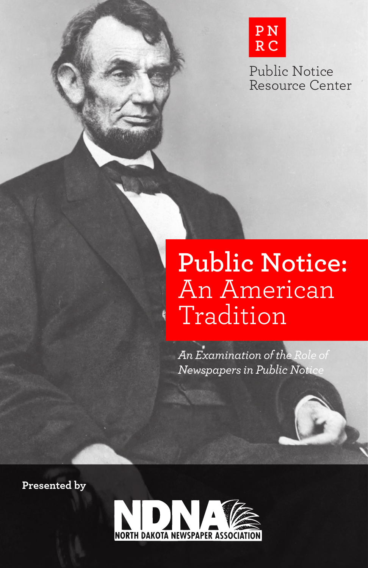

Public Notice Resource Center

# **Public Notice:**  An American Tradition

*An Examination of the Role of Newspapers in Public Notice*

**Presented by**

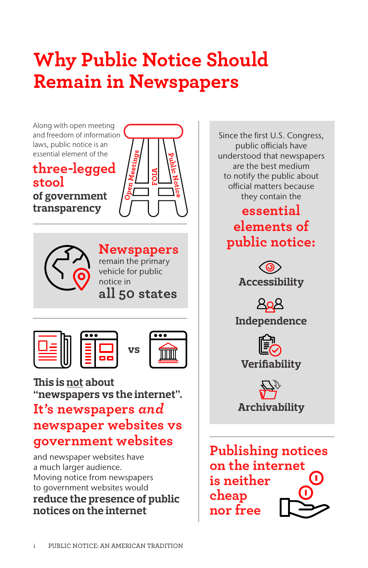# **Why Public Notice Should Remain in Newspapers**

Along with open meeting and freedom of information laws, public notice is an essential element of the

**three-legged stool** 

**of government transparency**





**Newspapers** remain the primary vehicle for public notice in **all 50 states**

**vs**







**This is not about "newspapers vs the internet".**

## **It's newspapers** *and* **newspaper websites vs government websites**

and newspaper websites have a much larger audience. Moving notice from newspapers to government websites would **reduce the presence of public notices on the internet**

Since the first U.S. Congress, public officials have understood that newspapers are the best medium to notify the public about official matters because they contain the **essential elements of public notice:** <ග **Accessibility Independence Verifiability Archivability Publishing notices on the internet is neither cheap nor free**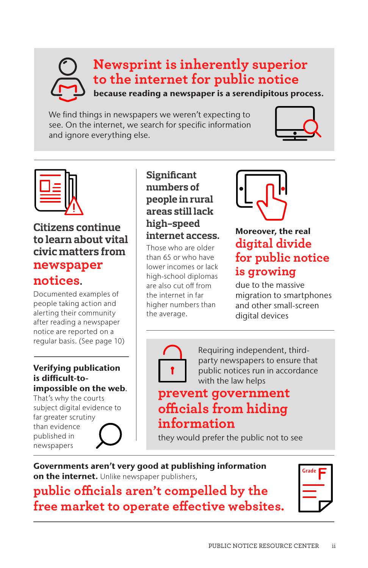## **Newsprint is inherently superior to the internet for public notice** because reading a newspaper is a serendipitous process.

We find things in newspapers we weren't expecting to see. On the internet, we search for specific information and ignore everything else.





**Citizens continue to learn about vital civic matters from newspaper notices.**

Documented examples of people taking action and alerting their community after reading a newspaper notice are reported on a regular basis. (See page 10)

### Verifying publication is difficult-toimpossible on the web.

That's why the courts subject digital evidence to far greater scrutiny than evidence published in newspapers

### **Significant numbers of people in rural areas still lack high-speed internet access.**

Those who are older than 65 or who have lower incomes or lack high-school diplomas are also cut off from the internet in far higher numbers than the average.



### Moreover, the real **digital divide for public notice is growing**

due to the massive migration to smartphones and other small-screen digital devices



Requiring independent, thirdparty newspapers to ensure that public notices run in accordance with the law helps

### **prevent government officials from hiding information**

they would prefer the public not to see

### Governments aren't very good at publishing information on the internet. Unlike newspaper publishers,

## **public officials aren't compelled by the free market to operate effective websites.**

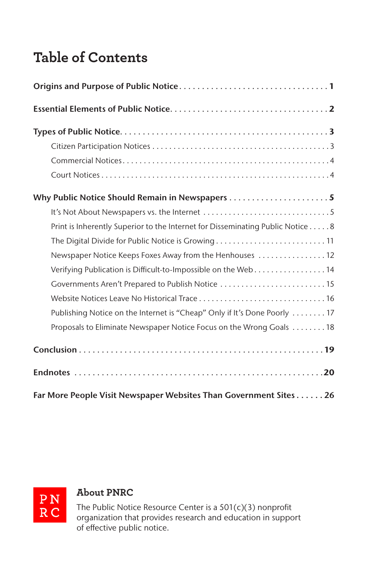## **Table of Contents**

| Why Public Notice Should Remain in Newspapers 5                                |
|--------------------------------------------------------------------------------|
|                                                                                |
| Print is Inherently Superior to the Internet for Disseminating Public Notice 8 |
| The Digital Divide for Public Notice is Growing 11                             |
| Newspaper Notice Keeps Foxes Away from the Henhouses  12                       |
| Verifying Publication is Difficult-to-Impossible on the Web14                  |
| Governments Aren't Prepared to Publish Notice 15                               |
|                                                                                |
| Publishing Notice on the Internet is "Cheap" Only if It's Done Poorly  17      |
| Proposals to Eliminate Newspaper Notice Focus on the Wrong Goals  18           |
|                                                                                |
|                                                                                |
| Far More People Visit Newspaper Websites Than Government Sites 26              |



### **About PNRC**

The Public Notice Resource Center is a 501(c)(3) nonprofit organization that provides research and education in support of effective public notice.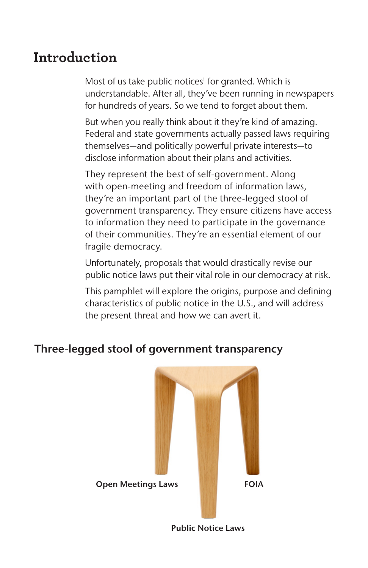## **Introduction**

Most of us take public notices<sup>1</sup> for granted. Which is understandable. After all, they've been running in newspapers for hundreds of years. So we tend to forget about them.

But when you really think about it they're kind of amazing. Federal and state governments actually passed laws requiring themselves—and politically powerful private interests—to disclose information about their plans and activities.

They represent the best of self-government. Along with open-meeting and freedom of information laws, they're an important part of the three-legged stool of government transparency. They ensure citizens have access to information they need to participate in the governance of their communities. They're an essential element of our fragile democracy.

Unfortunately, proposals that would drastically revise our public notice laws put their vital role in our democracy at risk.

This pamphlet will explore the origins, purpose and defining characteristics of public notice in the U.S., and will address the present threat and how we can avert it.

### Three-legged stool of government transparency



Public Notice Laws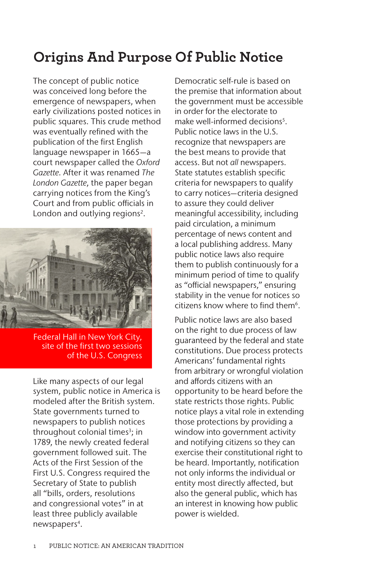## **Origins And Purpose Of Public Notice**

The concept of public notice was conceived long before the emergence of newspapers, when early civilizations posted notices in public squares. This crude method was eventually refined with the publication of the first English language newspaper in 1665—a court newspaper called the *Oxford Gazette*. After it was renamed *The London Gazette*, the paper began carrying notices from the King's Court and from public officials in London and outlying regions<sup>2</sup>.



Federal Hall in New York City, site of the first two sessions of the U.S. Congress

Like many aspects of our legal system, public notice in America is modeled after the British system. State governments turned to newspapers to publish notices throughout colonial times<sup>3</sup>; in 1789, the newly created federal government followed suit. The Acts of the First Session of the First U.S. Congress required the Secretary of State to publish all "bills, orders, resolutions and congressional votes" in at least three publicly available newspapers<sup>4</sup>.

Democratic self-rule is based on the premise that information about the government must be accessible in order for the electorate to make well-informed decisions<sup>5</sup>. Public notice laws in the U.S. recognize that newspapers are the best means to provide that access. But not *all* newspapers. State statutes establish specific criteria for newspapers to qualify to carry notices—criteria designed to assure they could deliver meaningful accessibility, including paid circulation, a minimum percentage of news content and a local publishing address. Many public notice laws also require them to publish continuously for a minimum period of time to qualify as "official newspapers," ensuring stability in the venue for notices so citizens know where to find them<sup>6</sup>.

Public notice laws are also based on the right to due process of law guaranteed by the federal and state constitutions. Due process protects Americans' fundamental rights from arbitrary or wrongful violation and affords citizens with an opportunity to be heard before the state restricts those rights. Public notice plays a vital role in extending those protections by providing a window into government activity and notifying citizens so they can exercise their constitutional right to be heard. Importantly, notification not only informs the individual or entity most directly affected, but also the general public, which has an interest in knowing how public power is wielded.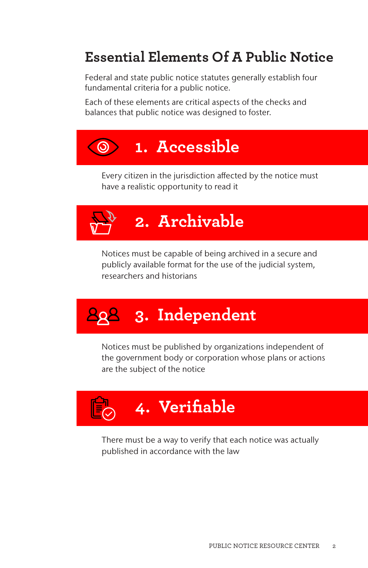## **Essential Elements Of A Public Notice**

Federal and state public notice statutes generally establish four fundamental criteria for a public notice.

Each of these elements are critical aspects of the checks and balances that public notice was designed to foster.



 Every citizen in the jurisdiction affected by the notice must have a realistic opportunity to read it



 Notices must be capable of being archived in a secure and publicly available format for the use of the judicial system, researchers and historians

# **3. Independent**

 Notices must be published by organizations independent of the government body or corporation whose plans or actions are the subject of the notice



 There must be a way to verify that each notice was actually published in accordance with the law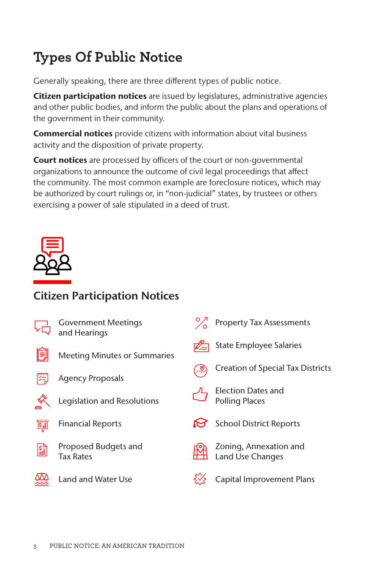## **Types Of Public Notice**

Generally speaking, there are three different types of public notice.

Citizen participation notices are issued by legislatures, administrative agencies and other public bodies, and inform the public about the plans and operations of the government in their community.

**Commercial notices** provide citizens with information about vital business activity and the disposition of private property.

Court notices are processed by officers of the court or non-governmental organizations to announce the outcome of civil legal proceedings that affect the community. The most common example are foreclosure notices, which may be authorized by court rulings or, in "non-judicial" states, by trustees or others exercising a power of sale stipulated in a deed of trust.



## Citizen Participation Notices

|     | <b>Government Meetings</b><br>and Hearings | <b>Property Tax Assessments</b>                    |
|-----|--------------------------------------------|----------------------------------------------------|
|     | <b>Meeting Minutes or Summaries</b>        | <b>State Employee Salaries</b>                     |
| 陛   | <b>Agency Proposals</b>                    | <b>Creation of Special Tax Districts</b>           |
|     | Legislation and Resolutions                | <b>Election Dates and</b><br><b>Polling Places</b> |
| 阿   | <b>Financial Reports</b>                   | <b>School District Reports</b>                     |
| ।धो | Proposed Budgets and<br><b>Tax Rates</b>   | Zoning, Annexation and<br><b>Land Use Changes</b>  |
|     | <b>Land and Water Use</b>                  | <b>Capital Improvement Plans</b>                   |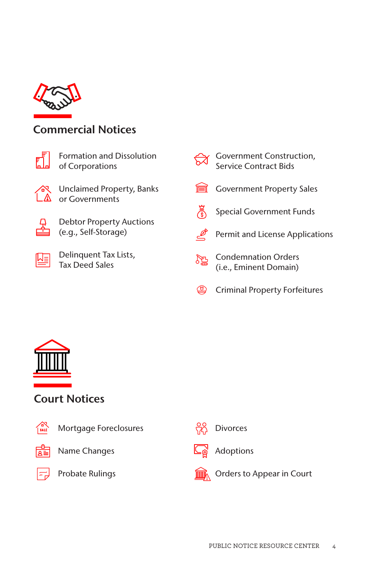

### Commercial Notices



Formation and Dissolution of Corporations



Unclaimed Property, Banks or Governments



Debtor Property Auctions (e.g., Self-Storage)



Delinquent Tax Lists, Tax Deed Sales

| ट्रेंटें | Government Construction,<br>Service Contract Bids |
|----------|---------------------------------------------------|
|          | Government Property Sales                         |
|          | <b>Special Government Funds</b>                   |
|          | Permit and License Applications                   |
| a.<br>23 | Condemnation Orders<br>(i.e., Eminent Domain)     |
|          | <b>Criminal Property Forfeitures</b>              |



### Court Notices



Mortgage Foreclosures



Name Changes



Probate Rulings





Adoptions



Orders to Appear in Court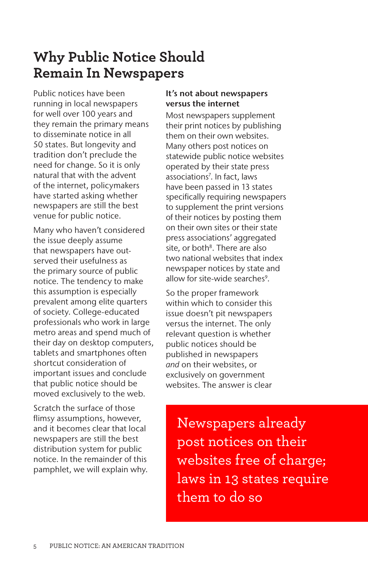## **Why Public Notice Should Remain In Newspapers**

Public notices have been running in local newspapers for well over 100 years and they remain the primary means to disseminate notice in all 50 states. But longevity and tradition don't preclude the need for change. So it is only natural that with the advent of the internet, policymakers have started asking whether newspapers are still the best venue for public notice.

Many who haven't considered the issue deeply assume that newspapers have outserved their usefulness as the primary source of public notice. The tendency to make this assumption is especially prevalent among elite quarters of society. College-educated professionals who work in large metro areas and spend much of their day on desktop computers, tablets and smartphones often shortcut consideration of important issues and conclude that public notice should be moved exclusively to the web.

Scratch the surface of those flimsy assumptions, however, and it becomes clear that local newspapers are still the best distribution system for public notice. In the remainder of this pamphlet, we will explain why.

### It's not about newspapers versus the internet

Most newspapers supplement their print notices by publishing them on their own websites. Many others post notices on statewide public notice websites operated by their state press associations7 . In fact, laws have been passed in 13 states specifically requiring newspapers to supplement the print versions of their notices by posting them on their own sites or their state press associations' aggregated site, or both<sup>8</sup>. There are also two national websites that index newspaper notices by state and allow for site-wide searches<sup>9</sup>.

So the proper framework within which to consider this issue doesn't pit newspapers versus the internet. The only relevant question is whether public notices should be published in newspapers *and* on their websites, or exclusively on government websites. The answer is clear

Newspapers already post notices on their websites free of charge; laws in 13 states require them to do so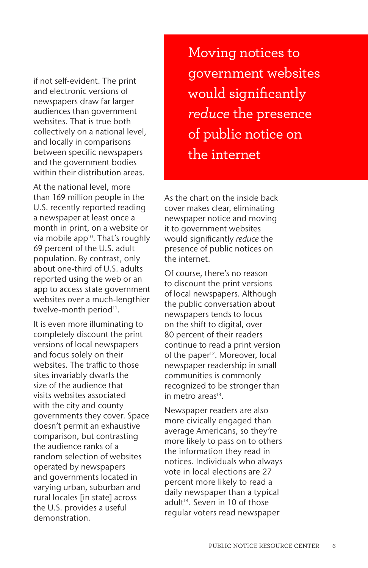if not self-evident. The print and electronic versions of newspapers draw far larger audiences than government websites. That is true both collectively on a national level, and locally in comparisons between specific newspapers and the government bodies within their distribution areas.

At the national level, more than 169 million people in the U.S. recently reported reading a newspaper at least once a month in print, on a website or via mobile app<sup>10</sup>. That's roughly 69 percent of the U.S. adult population. By contrast, only about one-third of U.S. adults reported using the web or an app to access state government websites over a much-lengthier twelve-month period<sup>11</sup>.

It is even more illuminating to completely discount the print versions of local newspapers and focus solely on their websites. The traffic to those sites invariably dwarfs the size of the audience that visits websites associated with the city and county governments they cover. Space doesn't permit an exhaustive comparison, but contrasting the audience ranks of a random selection of websites operated by newspapers and governments located in varying urban, suburban and rural locales [in state] across the U.S. provides a useful demonstration.

Moving notices to government websites would significantly *reduce* the presence of public notice on the internet

As the chart on the inside back cover makes clear, eliminating newspaper notice and moving it to government websites would significantly *reduce* the presence of public notices on the internet.

Of course, there's no reason to discount the print versions of local newspapers. Although the public conversation about newspapers tends to focus on the shift to digital, over 80 percent of their readers continue to read a print version of the paper<sup>12</sup>. Moreover, local newspaper readership in small communities is commonly recognized to be stronger than in metro areas $13$ .

Newspaper readers are also more civically engaged than average Americans, so they're more likely to pass on to others the information they read in notices. Individuals who always vote in local elections are 27 percent more likely to read a daily newspaper than a typical adult<sup>14</sup>. Seven in 10 of those regular voters read newspaper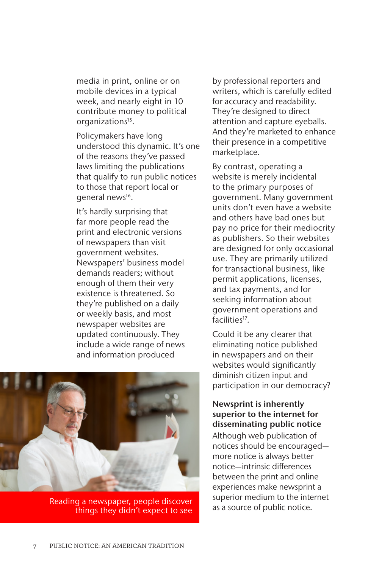media in print, online or on mobile devices in a typical week, and nearly eight in 10 contribute money to political organizations<sup>15</sup>.

Policymakers have long understood this dynamic. It's one of the reasons they've passed laws limiting the publications that qualify to run public notices to those that report local or general news<sup>16</sup>.

It's hardly surprising that far more people read the print and electronic versions of newspapers than visit government websites. Newspapers' business model demands readers; without enough of them their very existence is threatened. So they're published on a daily or weekly basis, and most newspaper websites are updated continuously. They include a wide range of news and information produced



Reading a newspaper, people discover<br>things they didn't expect to see as a source of public notice. things they didn't expect to see

by professional reporters and writers, which is carefully edited for accuracy and readability. They're designed to direct attention and capture eyeballs. And they're marketed to enhance their presence in a competitive marketplace.

By contrast, operating a website is merely incidental to the primary purposes of government. Many government units don't even have a website and others have bad ones but pay no price for their mediocrity as publishers. So their websites are designed for only occasional use. They are primarily utilized for transactional business, like permit applications, licenses, and tax payments, and for seeking information about government operations and facilities<sup>17</sup>.

Could it be any clearer that eliminating notice published in newspapers and on their websites would significantly diminish citizen input and participation in our democracy?

Newsprint is inherently superior to the internet for disseminating public notice Although web publication of notices should be encouraged more notice is always better notice—intrinsic differences between the print and online experiences make newsprint a superior medium to the internet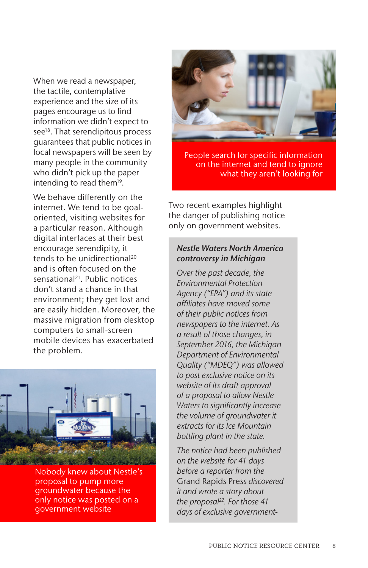When we read a newspaper, the tactile, contemplative experience and the size of its pages encourage us to find information we didn't expect to see<sup>18</sup>. That serendipitous process guarantees that public notices in local newspapers will be seen by many people in the community who didn't pick up the paper intending to read them<sup>19</sup>.

We behave differently on the internet. We tend to be goaloriented, visiting websites for a particular reason. Although digital interfaces at their best encourage serendipity, it tends to be unidirectional<sup>20</sup> and is often focused on the sensational21. Public notices don't stand a chance in that environment; they get lost and are easily hidden. Moreover, the massive migration from desktop computers to small-screen mobile devices has exacerbated the problem.



Nobody knew about Nestle's proposal to pump more groundwater because the only notice was posted on a government website



People search for specific information on the internet and tend to ignore what they aren't looking for

Two recent examples highlight the danger of publishing notice only on government websites.

### *Nestle Waters North America controversy in Michigan*

*Over the past decade, the Environmental Protection Agency ("EPA") and its state affiliates have moved some of their public notices from newspapers to the internet. As a result of those changes, in September 2016, the Michigan Department of Environmental Quality ("MDEQ") was allowed to post exclusive notice on its website of its draft approval of a proposal to allow Nestle Waters to significantly increase the volume of groundwater it extracts for its Ice Mountain bottling plant in the state.* 

*The notice had been published on the website for 41 days before a reporter from the*  Grand Rapids Press *discovered it and wrote a story about the proposal22. For those 41 days of exclusive government-*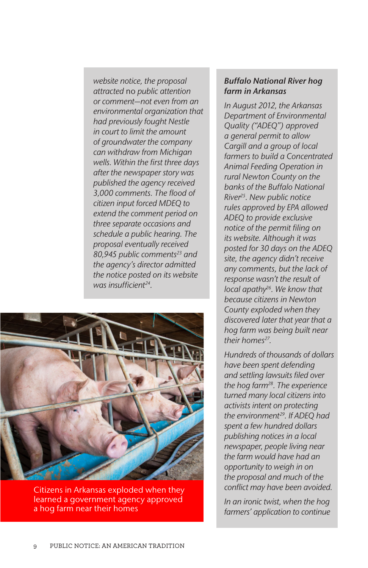*website notice, the proposal attracted* no *public attention or comment—not even from an environmental organization that had previously fought Nestle in court to limit the amount of groundwater the company can withdraw from Michigan wells. Within the first three days after the newspaper story was published the agency received 3,000 comments. The flood of citizen input forced MDEQ to extend the comment period on three separate occasions and schedule a public hearing. The proposal eventually received 80,945 public comments23 and the agency's director admitted the notice posted on its website was insufficient24.* 



Citizens in Arkansas exploded when they learned a government agency approved a hog farm near their homes

### *Buffalo National River hog farm in Arkansas*

*In August 2012, the Arkansas Department of Environmental Quality ("ADEQ") approved a general permit to allow Cargill and a group of local farmers to build a Concentrated Animal Feeding Operation in rural Newton County on the banks of the Buffalo National River25. New public notice rules approved by EPA allowed ADEQ to provide exclusive notice of the permit filing on its website. Although it was posted for 30 days on the ADEQ site, the agency didn't receive any comments, but the lack of response wasn't the result of local apathy26. We know that because citizens in Newton County exploded when they discovered later that year that a hog farm was being built near*  their homes<sup>27</sup>.

*Hundreds of thousands of dollars have been spent defending and settling lawsuits filed over the hog farm28. The experience turned many local citizens into activists intent on protecting the environment29. If ADEQ had spent a few hundred dollars publishing notices in a local newspaper, people living near the farm would have had an opportunity to weigh in on the proposal and much of the conflict may have been avoided.*

*In an ironic twist, when the hog farmers' application to continue*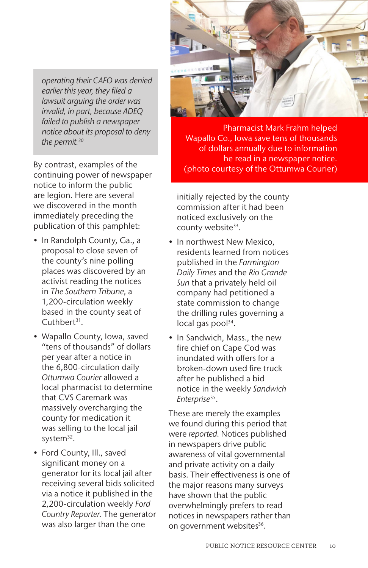*operating their CAFO was denied earlier this year, they filed a lawsuit arguing the order was invalid, in part, because ADEQ failed to publish a newspaper notice about its proposal to deny the permit.30*

By contrast, examples of the continuing power of newspaper notice to inform the public are legion. Here are several we discovered in the month immediately preceding the publication of this pamphlet:

- In Randolph County, Ga., a proposal to close seven of the county's nine polling places was discovered by an activist reading the notices in *The Southern Tribune*, a 1,200-circulation weekly based in the county seat of Cuthbert<sup>31</sup>.
- Wapallo County, Iowa, saved "tens of thousands" of dollars per year after a notice in the 6,800-circulation daily *Ottumwa Courier* allowed a local pharmacist to determine that CVS Caremark was massively overcharging the county for medication it was selling to the local jail system<sup>32</sup>.
- Ford County, Ill., saved significant money on a generator for its local jail after receiving several bids solicited via a notice it published in the 2,200-circulation weekly *Ford Country Reporter*. The generator was also larger than the one



Pharmacist Mark Frahm helped Wapallo Co., Iowa save tens of thousands of dollars annually due to information he read in a newspaper notice. (photo courtesy of the Ottumwa Courier)

initially rejected by the county commission after it had been noticed exclusively on the county website<sup>33</sup>.

- In northwest New Mexico, residents learned from notices published in the *Farmington Daily Times* and the *Rio Grande Sun* that a privately held oil company had petitioned a state commission to change the drilling rules governing a local gas pool $34$ .
- In Sandwich, Mass., the new fire chief on Cape Cod was inundated with offers for a broken-down used fire truck after he published a bid notice in the weekly *Sandwich Enterprise*35.

These are merely the examples we found during this period that were *reported*. Notices published in newspapers drive public awareness of vital governmental and private activity on a daily basis. Their effectiveness is one of the major reasons many surveys have shown that the public overwhelmingly prefers to read notices in newspapers rather than on government websites<sup>36</sup>.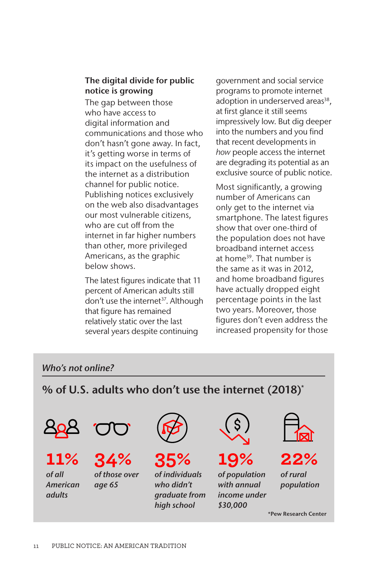### The digital divide for public notice is growing

The gap between those who have access to digital information and communications and those who don't hasn't gone away. In fact, it's getting worse in terms of its impact on the usefulness of the internet as a distribution channel for public notice. Publishing notices exclusively on the web also disadvantages our most vulnerable citizens, who are cut off from the internet in far higher numbers than other, more privileged Americans, as the graphic below shows.

The latest figures indicate that 11 percent of American adults still don't use the internet<sup>37</sup>. Although that figure has remained relatively static over the last several years despite continuing

government and social service programs to promote internet adoption in underserved areas<sup>38</sup>. at first glance it still seems impressively low. But dig deeper into the numbers and you find that recent developments in *how* people access the internet are degrading its potential as an exclusive source of public notice.

Most significantly, a growing number of Americans can only get to the internet via smartphone. The latest figures show that over one-third of the population does not have broadband internet access at home<sup>39</sup>. That number is the same as it was in 2012, and home broadband figures have actually dropped eight percentage points in the last two years. Moreover, those figures don't even address the increased propensity for those

### *Who's not online?*

% of U.S. adults who don't use the internet (2018)\*



\*Pew Research Center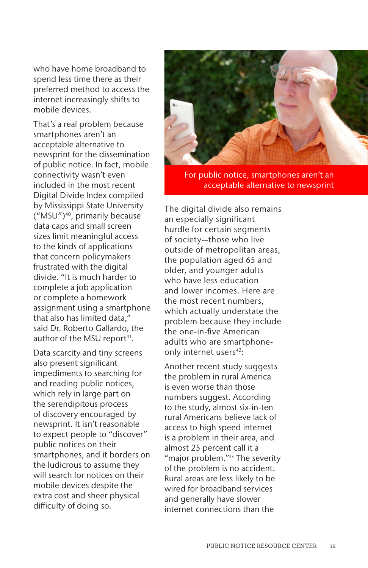who have home broadband to spend less time there as their preferred method to access the internet increasingly shifts to mobile devices.

That's a real problem because smartphones aren't an acceptable alternative to newsprint for the dissemination of public notice. In fact, mobile connectivity wasn't even included in the most recent Digital Divide Index compiled by Mississippi State University ("MSU")40, primarily because data caps and small screen sizes limit meaningful access to the kinds of applications that concern policymakers frustrated with the digital divide. "It is much harder to complete a job application or complete a homework assignment using a smartphone that also has limited data," said Dr. Roberto Gallardo, the author of the MSU report<sup>41</sup>.

Data scarcity and tiny screens also present significant impediments to searching for and reading public notices, which rely in large part on the serendipitous process of discovery encouraged by newsprint. It isn't reasonable to expect people to "discover" public notices on their smartphones, and it borders on the ludicrous to assume they will search for notices on their mobile devices despite the extra cost and sheer physical difficulty of doing so.



For public notice, smartphones aren't an acceptable alternative to newsprint

The digital divide also remains an especially significant hurdle for certain segments of society—those who live outside of metropolitan areas, the population aged 65 and older, and younger adults who have less education and lower incomes. Here are the most recent numbers, which actually understate the problem because they include the one-in-five American adults who are smartphoneonly internet users<sup>42</sup>:

Another recent study suggests the problem in rural America is even worse than those numbers suggest. According to the study, almost six-in-ten rural Americans believe lack of access to high speed internet is a problem in their area, and almost 25 percent call it a "major problem."<sup>43</sup> The severity of the problem is no accident. Rural areas are less likely to be wired for broadband services and generally have slower internet connections than the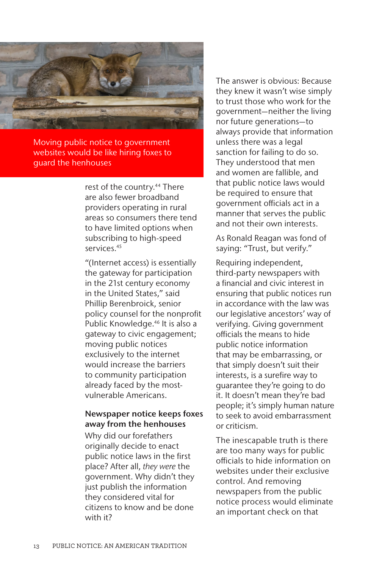

Moving public notice to government websites would be like hiring foxes to guard the henhouses

> rest of the country.<sup>44</sup> There are also fewer broadband providers operating in rural areas so consumers there tend to have limited options when subscribing to high-speed services.45

"(Internet access) is essentially the gateway for participation in the 21st century economy in the United States," said Phillip Berenbroick, senior policy counsel for the nonprofit Public Knowledge.<sup>46</sup> It is also a gateway to civic engagement; moving public notices exclusively to the internet would increase the barriers to community participation already faced by the mostvulnerable Americans.

#### Newspaper notice keeps foxes away from the henhouses

Why did our forefathers originally decide to enact public notice laws in the first place? After all, *they were* the government. Why didn't they just publish the information they considered vital for citizens to know and be done with it?

The answer is obvious: Because they knew it wasn't wise simply to trust those who work for the government—neither the living nor future generations—to always provide that information unless there was a legal sanction for failing to do so. They understood that men and women are fallible, and that public notice laws would be required to ensure that government officials act in a manner that serves the public and not their own interests.

As Ronald Reagan was fond of saying: "Trust, but verify."

Requiring independent, third-party newspapers with a financial and civic interest in ensuring that public notices run in accordance with the law was our legislative ancestors' way of verifying. Giving government officials the means to hide public notice information that may be embarrassing, or that simply doesn't suit their interests, is a surefire way to guarantee they're going to do it. It doesn't mean they're bad people; it's simply human nature to seek to avoid embarrassment or criticism.

The inescapable truth is there are too many ways for public officials to hide information on websites under their exclusive control. And removing newspapers from the public notice process would eliminate an important check on that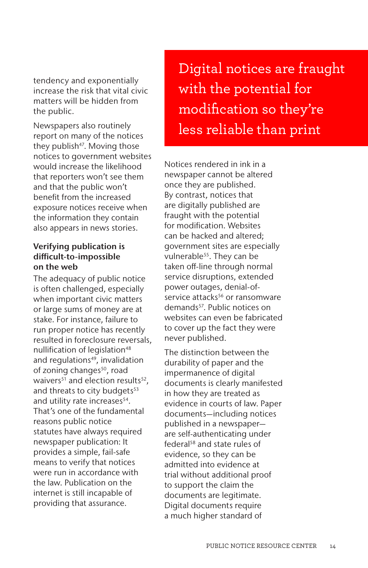tendency and exponentially increase the risk that vital civic matters will be hidden from the public.

Newspapers also routinely report on many of the notices they publish<sup>47</sup>. Moving those notices to government websites would increase the likelihood that reporters won't see them and that the public won't benefit from the increased exposure notices receive when the information they contain also appears in news stories.

### Verifying publication is difficult-to-impossible on the web

The adequacy of public notice is often challenged, especially when important civic matters or large sums of money are at stake. For instance, failure to run proper notice has recently resulted in foreclosure reversals, nullification of legislation<sup>48</sup> and regulations<sup>49</sup>, invalidation of zoning changes<sup>50</sup>, road waivers $51$  and election results $52$ , and threats to city budgets<sup>53</sup> and utility rate increases<sup>54</sup>. That's one of the fundamental reasons public notice statutes have always required newspaper publication: It provides a simple, fail-safe means to verify that notices were run in accordance with the law. Publication on the internet is still incapable of providing that assurance.

Digital notices are fraught with the potential for modification so they're less reliable than print

Notices rendered in ink in a newspaper cannot be altered once they are published. By contrast, notices that are digitally published are fraught with the potential for modification. Websites can be hacked and altered; government sites are especially vulnerable<sup>55</sup>. They can be taken off-line through normal service disruptions, extended power outages, denial-ofservice attacks<sup>56</sup> or ransomware demands<sup>57</sup>. Public notices on websites can even be fabricated to cover up the fact they were never published.

The distinction between the durability of paper and the impermanence of digital documents is clearly manifested in how they are treated as evidence in courts of law. Paper documents—including notices published in a newspaper are self-authenticating under federal<sup>58</sup> and state rules of evidence, so they can be admitted into evidence at trial without additional proof to support the claim the documents are legitimate. Digital documents require a much higher standard of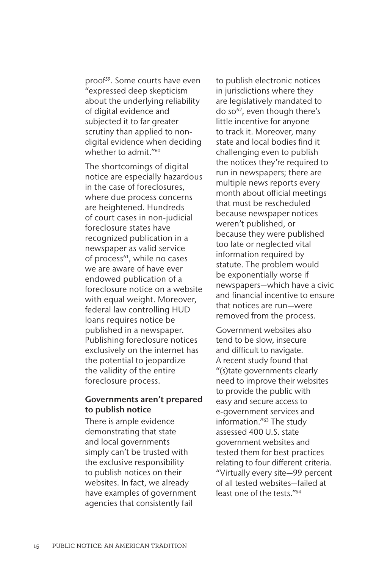proof<sup>59</sup>. Some courts have even "expressed deep skepticism about the underlying reliability of digital evidence and subjected it to far greater scrutiny than applied to nondigital evidence when deciding whether to admit."<sup>60</sup>

The shortcomings of digital notice are especially hazardous in the case of foreclosures, where due process concerns are heightened. Hundreds of court cases in non-judicial foreclosure states have recognized publication in a newspaper as valid service of process<sup>61</sup>, while no cases we are aware of have ever endowed publication of a foreclosure notice on a website with equal weight. Moreover, federal law controlling HUD loans requires notice be published in a newspaper. Publishing foreclosure notices exclusively on the internet has the potential to jeopardize the validity of the entire foreclosure process.

#### Governments aren't prepared to publish notice

There is ample evidence demonstrating that state and local governments simply can't be trusted with the exclusive responsibility to publish notices on their websites. In fact, we already have examples of government agencies that consistently fail

to publish electronic notices in jurisdictions where they are legislatively mandated to do so<sup>62</sup>, even though there's little incentive for anyone to track it. Moreover, many state and local bodies find it challenging even to publish the notices they're required to run in newspapers; there are multiple news reports every month about official meetings that must be rescheduled because newspaper notices weren't published, or because they were published too late or neglected vital information required by statute. The problem would be exponentially worse if newspapers—which have a civic and financial incentive to ensure that notices are run—were removed from the process.

Government websites also tend to be slow, insecure and difficult to navigate. A recent study found that "(s)tate governments clearly need to improve their websites to provide the public with easy and secure access to e-government services and information."63 The study assessed 400 U.S. state government websites and tested them for best practices relating to four different criteria. "Virtually every site—99 percent of all tested websites—failed at least one of the tests."64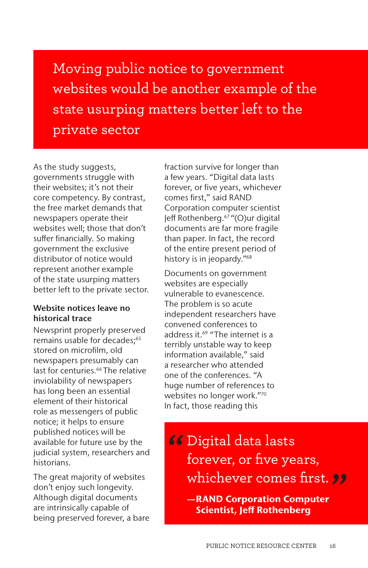Moving public notice to government websites would be another example of the state usurping matters better left to the private sector

As the study suggests, governments struggle with their websites; it's not their core competency. By contrast, the free market demands that newspapers operate their websites well; those that don't suffer financially. So making government the exclusive distributor of notice would represent another example of the state usurping matters better left to the private sector.

#### Website notices leave no historical trace

Newsprint properly preserved remains usable for decades:<sup>65</sup> stored on microfilm, old newspapers presumably can last for centuries.<sup>66</sup> The relative inviolability of newspapers has long been an essential element of their historical role as messengers of public notice; it helps to ensure published notices will be available for future use by the judicial system, researchers and historians.

The great majority of websites don't enjoy such longevity. Although digital documents are intrinsically capable of being preserved forever, a bare fraction survive for longer than a few years. "Digital data lasts forever, or five years, whichever comes first," said RAND Corporation computer scientist Jeff Rothenberg.67 "(O)ur digital documents are far more fragile than paper. In fact, the record of the entire present period of history is in jeopardy."68

Documents on government websites are especially vulnerable to evanescence. The problem is so acute independent researchers have convened conferences to address it.<sup>69</sup> "The internet is a terribly unstable way to keep information available," said a researcher who attended one of the conferences. "A huge number of references to websites no longer work."70 In fact, those reading this

- **66** Digital data lasts<br>forever, or five year forever, or five years, whichever comes first. **"**
	- —RAND Corporation Computer Scientist, Jeff Rothenberg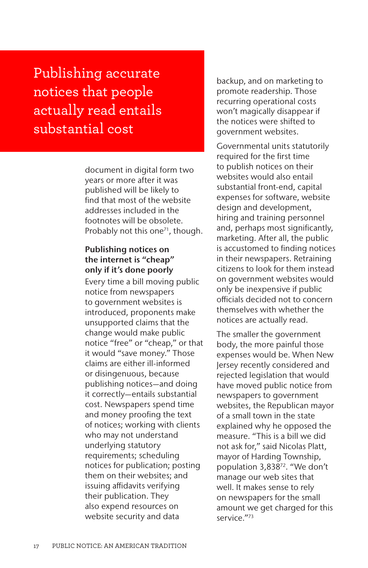Publishing accurate notices that people actually read entails substantial cost

> document in digital form two years or more after it was published will be likely to find that most of the website addresses included in the footnotes will be obsolete. Probably not this one<sup> $71$ </sup>, though.

### Publishing notices on the internet is "cheap" only if it's done poorly

Every time a bill moving public notice from newspapers to government websites is introduced, proponents make unsupported claims that the change would make public notice "free" or "cheap," or that it would "save money." Those claims are either ill-informed or disingenuous, because publishing notices—and doing it correctly—entails substantial cost. Newspapers spend time and money proofing the text of notices; working with clients who may not understand underlying statutory requirements; scheduling notices for publication; posting them on their websites; and issuing affidavits verifying their publication. They also expend resources on website security and data

backup, and on marketing to promote readership. Those recurring operational costs won't magically disappear if the notices were shifted to government websites.

Governmental units statutorily required for the first time to publish notices on their websites would also entail substantial front-end, capital expenses for software, website design and development, hiring and training personnel and, perhaps most significantly, marketing. After all, the public is accustomed to finding notices in their newspapers. Retraining citizens to look for them instead on government websites would only be inexpensive if public officials decided not to concern themselves with whether the notices are actually read.

The smaller the government body, the more painful those expenses would be. When New Jersey recently considered and rejected legislation that would have moved public notice from newspapers to government websites, the Republican mayor of a small town in the state explained why he opposed the measure. "This is a bill we did not ask for," said Nicolas Platt, mayor of Harding Township, population 3,83872. "We don't manage our web sites that well. It makes sense to rely on newspapers for the small amount we get charged for this service."73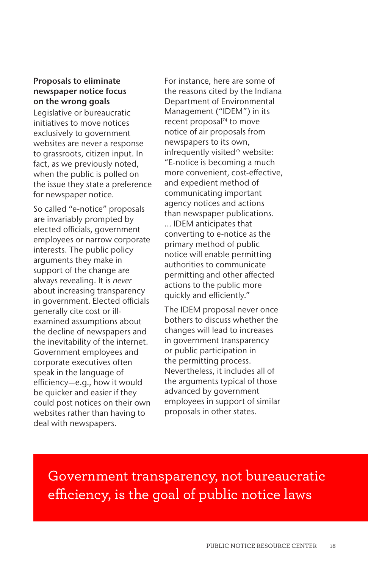### Proposals to eliminate newspaper notice focus on the wrong goals

Legislative or bureaucratic initiatives to move notices exclusively to government websites are never a response to grassroots, citizen input. In fact, as we previously noted, when the public is polled on the issue they state a preference for newspaper notice.

So called "e-notice" proposals are invariably prompted by elected officials, government employees or narrow corporate interests. The public policy arguments they make in support of the change are always revealing. It is *never* about increasing transparency in government. Elected officials generally cite cost or illexamined assumptions about the decline of newspapers and the inevitability of the internet. Government employees and corporate executives often speak in the language of efficiency—e.g., how it would be quicker and easier if they could post notices on their own websites rather than having to deal with newspapers.

For instance, here are some of the reasons cited by the Indiana Department of Environmental Management ("IDEM") in its recent proposal<sup>74</sup> to move notice of air proposals from newspapers to its own, infrequently visited<sup>75</sup> website: "E-notice is becoming a much more convenient, cost-effective, and expedient method of communicating important agency notices and actions than newspaper publications.

… IDEM anticipates that converting to e-notice as the primary method of public notice will enable permitting authorities to communicate permitting and other affected actions to the public more quickly and efficiently."

The IDEM proposal never once bothers to discuss whether the changes will lead to increases in government transparency or public participation in the permitting process. Nevertheless, it includes all of the arguments typical of those advanced by government employees in support of similar proposals in other states.

Government transparency, not bureaucratic efficiency, is the goal of public notice laws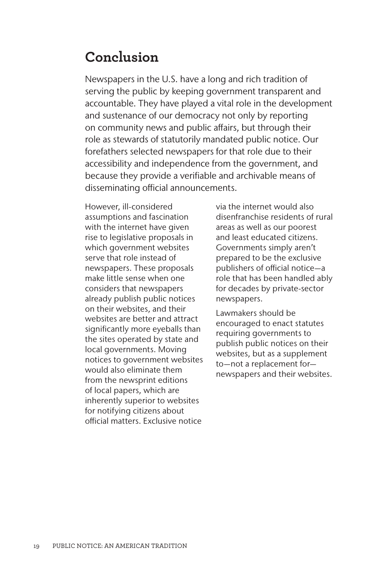## **Conclusion**

Newspapers in the U.S. have a long and rich tradition of serving the public by keeping government transparent and accountable. They have played a vital role in the development and sustenance of our democracy not only by reporting on community news and public affairs, but through their role as stewards of statutorily mandated public notice. Our forefathers selected newspapers for that role due to their accessibility and independence from the government, and because they provide a verifiable and archivable means of disseminating official announcements.

However, ill-considered assumptions and fascination with the internet have given rise to legislative proposals in which government websites serve that role instead of newspapers. These proposals make little sense when one considers that newspapers already publish public notices on their websites, and their websites are better and attract significantly more eyeballs than the sites operated by state and local governments. Moving notices to government websites would also eliminate them from the newsprint editions of local papers, which are inherently superior to websites for notifying citizens about official matters. Exclusive notice

via the internet would also disenfranchise residents of rural areas as well as our poorest and least educated citizens. Governments simply aren't prepared to be the exclusive publishers of official notice—a role that has been handled ably for decades by private-sector newspapers.

Lawmakers should be encouraged to enact statutes requiring governments to publish public notices on their websites, but as a supplement to—not a replacement for newspapers and their websites.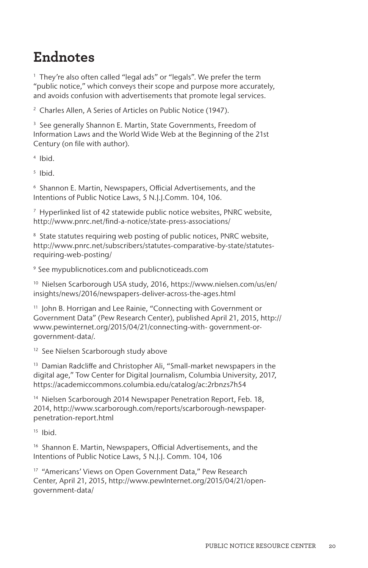## **Endnotes**

<sup>1</sup> They're also often called "legal ads" or "legals". We prefer the term "public notice," which conveys their scope and purpose more accurately, and avoids confusion with advertisements that promote legal services.

<sup>2</sup> Charles Allen, A Series of Articles on Public Notice (1947).

<sup>3</sup> See generally Shannon E. Martin, State Governments, Freedom of Information Laws and the World Wide Web at the Beginning of the 21st Century (on file with author).

<sup>4</sup> Ibid.

 $5$  Ibid.

<sup>6</sup> Shannon E. Martin, Newspapers, Official Advertisements, and the Intentions of Public Notice Laws, 5 N.J.J.Comm. 104, 106.

<sup>7</sup> Hyperlinked list of 42 statewide public notice websites, PNRC website, http://www.pnrc.net/find-a-notice/state-press-associations/

<sup>8</sup> State statutes requiring web posting of public notices, PNRC website, http://www.pnrc.net/subscribers/statutes-comparative-by-state/statutesrequiring-web-posting/

<sup>9</sup> See mypublicnotices.com and publicnoticeads.com

<sup>10</sup> Nielsen Scarborough USA study, 2016, https://www.nielsen.com/us/en/ insights/news/2016/newspapers-deliver-across-the-ages.html

<sup>11</sup> John B. Horrigan and Lee Rainie, "Connecting with Government or Government Data" (Pew Research Center), published April 21, 2015, http:// www.pewinternet.org/2015/04/21/connecting-with- government-orgovernment-data/.

<sup>12</sup> See Nielsen Scarborough study above

<sup>13</sup> Damian Radcliffe and Christopher Ali, "Small-market newspapers in the digital age," Tow Center for Digital Journalism, Columbia University, 2017, https://academiccommons.columbia.edu/catalog/ac:2rbnzs7h54

<sup>14</sup> Nielsen Scarborough 2014 Newspaper Penetration Report, Feb. 18, 2014, http://www.scarborough.com/reports/scarborough-newspaperpenetration-report.html

 $15$  Ibid.

<sup>16</sup> Shannon E. Martin, Newspapers, Official Advertisements, and the Intentions of Public Notice Laws, 5 N.J.J. Comm. 104, 106

<sup>17</sup> "Americans' Views on Open Government Data," Pew Research Center, April 21, 2015, http://www.pewInternet.org/2015/04/21/opengovernment-data/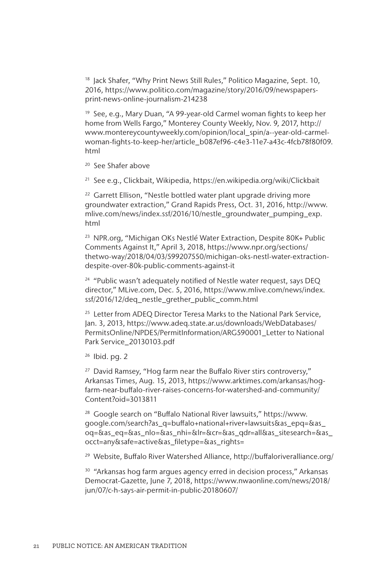<sup>18</sup> Jack Shafer, "Why Print News Still Rules," Politico Magazine, Sept. 10, 2016, https://www.politico.com/magazine/story/2016/09/newspapersprint-news-online-journalism-214238

<sup>19</sup> See, e.g., Mary Duan, "A 99-year-old Carmel woman fights to keep her home from Wells Fargo," Monterey County Weekly, Nov. 9, 2017, http:// www.montereycountyweekly.com/opinion/local\_spin/a--year-old-carmelwoman-fights-to-keep-her/article\_b087ef96-c4e3-11e7-a43c-4fcb78f80f09. html

<sup>20</sup> See Shafer above

<sup>21</sup> See e.g., Clickbait, Wikipedia, https://en.wikipedia.org/wiki/Clickbait

<sup>22</sup> Garrett Ellison, "Nestle bottled water plant upgrade driving more groundwater extraction," Grand Rapids Press, Oct. 31, 2016, http://www. mlive.com/news/index.ssf/2016/10/nestle\_groundwater\_pumping\_exp. html

<sup>23</sup> NPR.org, "Michigan OKs Nestlé Water Extraction, Despite 80K+ Public Comments Against It," April 3, 2018, https://www.npr.org/sections/ thetwo-way/2018/04/03/599207550/michigan-oks-nestl-water-extractiondespite-over-80k-public-comments-against-it

<sup>24</sup> "Public wasn't adequately notified of Nestle water request, says DEQ director," MLive.com, Dec. 5, 2016, https://www.mlive.com/news/index. ssf/2016/12/deq\_nestle\_grether\_public\_comm.html

<sup>25</sup> Letter from ADEO Director Teresa Marks to the National Park Service, Jan. 3, 2013, https://www.adeq.state.ar.us/downloads/WebDatabases/ PermitsOnline/NPDES/PermitInformation/ARG590001\_Letter to National Park Service\_20130103.pdf

 $26$  Ibid. pg. 2

<sup>27</sup> David Ramsey, "Hog farm near the Buffalo River stirs controversy," Arkansas Times, Aug. 15, 2013, https://www.arktimes.com/arkansas/hogfarm-near-buffalo-river-raises-concerns-for-watershed-and-community/ Content?oid=3013811

<sup>28</sup> Google search on "Buffalo National River lawsuits," https://www. google.com/search?as\_q=buffalo+national+river+lawsuits&as\_epq=&as\_ oq=&as\_eq=&as\_nlo=&as\_nhi=&lr=&cr=&as\_qdr=all&as\_sitesearch=&as\_ occt=any&safe=active&as\_filetype=&as\_rights=

<sup>29</sup> Website, Buffalo River Watershed Alliance, http://buffaloriveralliance.org/

<sup>30</sup> "Arkansas hog farm argues agency erred in decision process," Arkansas Democrat-Gazette, June 7, 2018, https://www.nwaonline.com/news/2018/ jun/07/c-h-says-air-permit-in-public-20180607/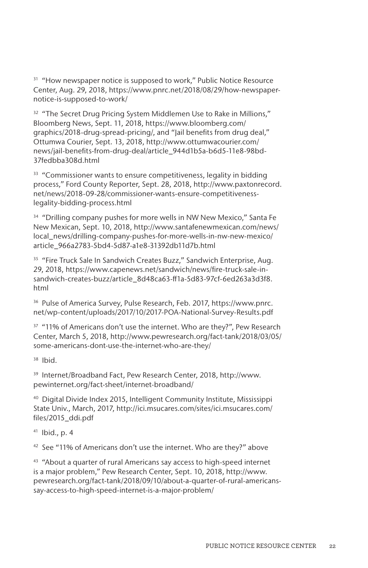<sup>31</sup> "How newspaper notice is supposed to work," Public Notice Resource Center, Aug. 29, 2018, https://www.pnrc.net/2018/08/29/how-newspapernotice-is-supposed-to-work/

<sup>32</sup> "The Secret Drug Pricing System Middlemen Use to Rake in Millions," Bloomberg News, Sept. 11, 2018, https://www.bloomberg.com/ graphics/2018-drug-spread-pricing/, and "Jail benefits from drug deal," Ottumwa Courier, Sept. 13, 2018, http://www.ottumwacourier.com/ news/jail-benefits-from-drug-deal/article\_944d1b5a-b6d5-11e8-98bd-37fedbba308d.html

<sup>33</sup> "Commissioner wants to ensure competitiveness, legality in bidding process," Ford County Reporter, Sept. 28, 2018, http://www.paxtonrecord. net/news/2018-09-28/commissioner-wants-ensure-competitivenesslegality-bidding-process.html

<sup>34</sup> "Drilling company pushes for more wells in NW New Mexico," Santa Fe New Mexican, Sept. 10, 2018, http://www.santafenewmexican.com/news/ local\_news/drilling-company-pushes-for-more-wells-in-nw-new-mexico/ article\_966a2783-5bd4-5d87-a1e8-31392db11d7b.html

<sup>35</sup> "Fire Truck Sale In Sandwich Creates Buzz," Sandwich Enterprise, Aug. 29, 2018, https://www.capenews.net/sandwich/news/fire-truck-sale-insandwich-creates-buzz/article\_8d48ca63-ff1a-5d83-97cf-6ed263a3d3f8. html

<sup>36</sup> Pulse of America Survey, Pulse Research, Feb. 2017, https://www.pnrc. net/wp-content/uploads/2017/10/2017-POA-National-Survey-Results.pdf

<sup>37</sup> "11% of Americans don't use the internet. Who are they?", Pew Research Center, March 5, 2018, http://www.pewresearch.org/fact-tank/2018/03/05/ some-americans-dont-use-the-internet-who-are-they/

<sup>38</sup> Ibid.

<sup>39</sup> Internet/Broadband Fact, Pew Research Center, 2018, http://www. pewinternet.org/fact-sheet/internet-broadband/

<sup>40</sup> Digital Divide Index 2015, Intelligent Community Institute, Mississippi State Univ., March, 2017, http://ici.msucares.com/sites/ici.msucares.com/ files/2015\_ddi.pdf

 $41$  Ibid., p. 4

<sup>42</sup> See "11% of Americans don't use the internet. Who are they?" above

<sup>43</sup> "About a quarter of rural Americans say access to high-speed internet is a major problem," Pew Research Center, Sept. 10, 2018, http://www. pewresearch.org/fact-tank/2018/09/10/about-a-quarter-of-rural-americanssay-access-to-high-speed-internet-is-a-major-problem/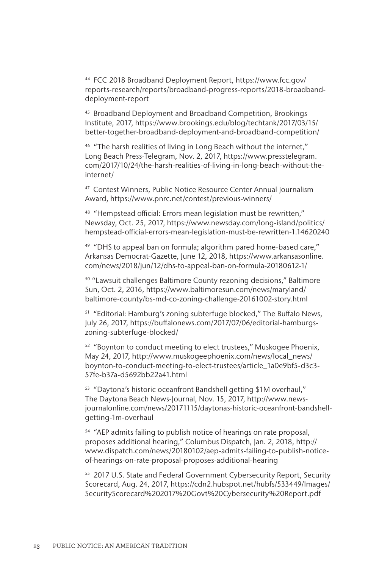<sup>44</sup> FCC 2018 Broadband Deployment Report, https://www.fcc.gov/ reports-research/reports/broadband-progress-reports/2018-broadbanddeployment-report

<sup>45</sup> Broadband Deployment and Broadband Competition, Brookings Institute, 2017, https://www.brookings.edu/blog/techtank/2017/03/15/ better-together-broadband-deployment-and-broadband-competition/

<sup>46</sup> "The harsh realities of living in Long Beach without the internet," Long Beach Press-Telegram, Nov. 2, 2017, https://www.presstelegram. com/2017/10/24/the-harsh-realities-of-living-in-long-beach-without-theinternet/

<sup>47</sup> Contest Winners, Public Notice Resource Center Annual Journalism Award, https://www.pnrc.net/contest/previous-winners/

<sup>48</sup> "Hempstead official: Errors mean legislation must be rewritten," Newsday, Oct. 25, 2017, https://www.newsday.com/long-island/politics/ hempstead-official-errors-mean-legislation-must-be-rewritten-1.14620240

<sup>49</sup> "DHS to appeal ban on formula; algorithm pared home-based care," Arkansas Democrat-Gazette, June 12, 2018, https://www.arkansasonline. com/news/2018/jun/12/dhs-to-appeal-ban-on-formula-20180612-1/

<sup>50</sup> "Lawsuit challenges Baltimore County rezoning decisions," Baltimore Sun, Oct. 2, 2016, https://www.baltimoresun.com/news/maryland/ baltimore-county/bs-md-co-zoning-challenge-20161002-story.html

<sup>51</sup> "Editorial: Hamburg's zoning subterfuge blocked," The Buffalo News, July 26, 2017, https://buffalonews.com/2017/07/06/editorial-hamburgszoning-subterfuge-blocked/

<sup>52</sup> "Boynton to conduct meeting to elect trustees," Muskogee Phoenix, May 24, 2017, http://www.muskogeephoenix.com/news/local\_news/ boynton-to-conduct-meeting-to-elect-trustees/article\_1a0e9bf5-d3c3- 57fe-b37a-d5692bb22a41.html

<sup>53</sup> "Daytona's historic oceanfront Bandshell getting \$1M overhaul," The Daytona Beach News-Journal, Nov. 15, 2017, http://www.newsjournalonline.com/news/20171115/daytonas-historic-oceanfront-bandshellgetting-1m-overhaul

<sup>54</sup> "AEP admits failing to publish notice of hearings on rate proposal, proposes additional hearing," Columbus Dispatch, Jan. 2, 2018, http:// www.dispatch.com/news/20180102/aep-admits-failing-to-publish-noticeof-hearings-on-rate-proposal-proposes-additional-hearing

<sup>55</sup> 2017 U.S. State and Federal Government Cybersecurity Report, Security Scorecard, Aug. 24, 2017, https://cdn2.hubspot.net/hubfs/533449/Images/ SecurityScorecard%202017%20Govt%20Cybersecurity%20Report.pdf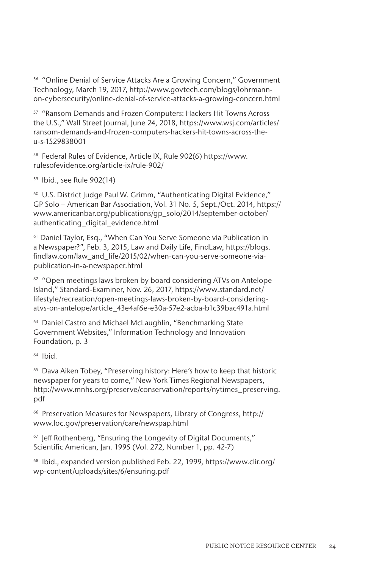<sup>56</sup> "Online Denial of Service Attacks Are a Growing Concern," Government Technology, March 19, 2017, http://www.govtech.com/blogs/lohrmannon-cybersecurity/online-denial-of-service-attacks-a-growing-concern.html

<sup>57</sup> "Ransom Demands and Frozen Computers: Hackers Hit Towns Across the U.S.," Wall Street Journal, June 24, 2018, https://www.wsj.com/articles/ ransom-demands-and-frozen-computers-hackers-hit-towns-across-theu-s-1529838001

<sup>58</sup> Federal Rules of Evidence, Article IX, Rule 902(6) https://www. rulesofevidence.org/article-ix/rule-902/

<sup>59</sup> Ibid., see Rule 902(14)

<sup>60</sup> U.S. District Judge Paul W. Grimm, "Authenticating Digital Evidence," GP Solo – American Bar Association, Vol. 31 No. 5, Sept./Oct. 2014, https:// www.americanbar.org/publications/gp\_solo/2014/september-october/ authenticating\_digital\_evidence.html

<sup>61</sup> Daniel Taylor, Esq., "When Can You Serve Someone via Publication in a Newspaper?", Feb. 3, 2015, Law and Daily Life, FindLaw, https://blogs. findlaw.com/law\_and\_life/2015/02/when-can-you-serve-someone-viapublication-in-a-newspaper.html

<sup>62</sup> "Open meetings laws broken by board considering ATVs on Antelope Island," Standard-Examiner, Nov. 26, 2017, https://www.standard.net/ lifestyle/recreation/open-meetings-laws-broken-by-board-consideringatvs-on-antelope/article\_43e4af6e-e30a-57e2-acba-b1c39bac491a.html

<sup>63</sup> Daniel Castro and Michael McLaughlin, "Benchmarking State Government Websites," Information Technology and Innovation Foundation, p. 3

<sup>64</sup> Ibid.

<sup>65</sup> Dava Aiken Tobey, "Preserving history: Here's how to keep that historic newspaper for years to come," New York Times Regional Newspapers, http://www.mnhs.org/preserve/conservation/reports/nytimes\_preserving. pdf

<sup>66</sup> Preservation Measures for Newspapers, Library of Congress, http:// www.loc.gov/preservation/care/newspap.html

<sup>67</sup> Jeff Rothenberg, "Ensuring the Longevity of Digital Documents," Scientific American, Jan. 1995 (Vol. 272, Number 1, pp. 42-7)

<sup>68</sup> Ibid., expanded version published Feb. 22, 1999, https://www.clir.org/ wp-content/uploads/sites/6/ensuring.pdf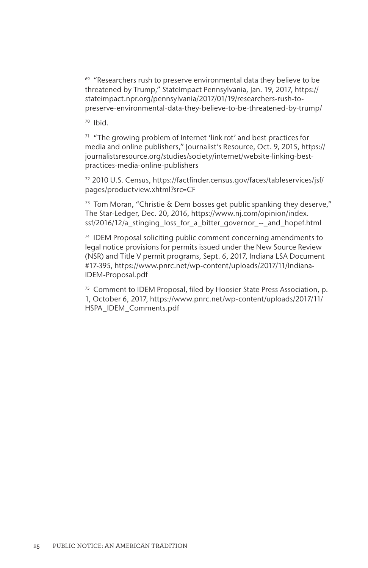<sup>69</sup> "Researchers rush to preserve environmental data they believe to be threatened by Trump," StateImpact Pennsylvania, Jan. 19, 2017, https:// stateimpact.npr.org/pennsylvania/2017/01/19/researchers-rush-topreserve-environmental-data-they-believe-to-be-threatened-by-trump/

<sup>70</sup> Ibid.

 $71$  "The growing problem of Internet 'link rot' and best practices for media and online publishers," Journalist's Resource, Oct. 9, 2015, https:// journalistsresource.org/studies/society/internet/website-linking-bestpractices-media-online-publishers

<sup>72</sup> 2010 U.S. Census, https://factfinder.census.gov/faces/tableservices/jsf/ pages/productview.xhtml?src=CF

 $73$  Tom Moran, "Christie & Dem bosses get public spanking they deserve," The Star-Ledger, Dec. 20, 2016, https://www.nj.com/opinion/index. ssf/2016/12/a\_stinging\_loss\_for\_a\_bitter\_governor\_--\_and\_hopef.html

 $74$  IDEM Proposal soliciting public comment concerning amendments to legal notice provisions for permits issued under the New Source Review (NSR) and Title V permit programs, Sept. 6, 2017, Indiana LSA Document #17-395, https://www.pnrc.net/wp-content/uploads/2017/11/Indiana-IDEM-Proposal.pdf

<sup>75</sup> Comment to IDEM Proposal, filed by Hoosier State Press Association, p. 1, October 6, 2017, https://www.pnrc.net/wp-content/uploads/2017/11/ HSPA\_IDEM\_Comments.pdf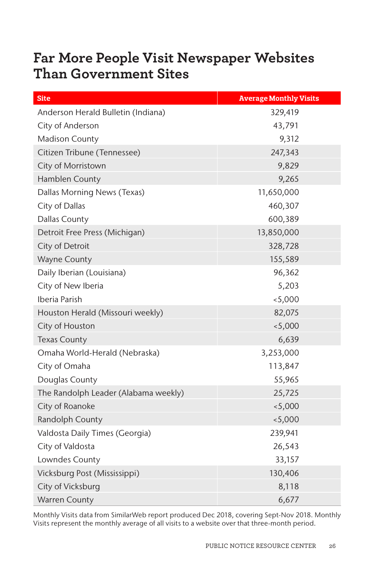## **Far More People Visit Newspaper Websites Than Government Sites**

| <b>Site</b>                          | <b>Average Monthly Visits</b> |
|--------------------------------------|-------------------------------|
| Anderson Herald Bulletin (Indiana)   | 329,419                       |
| City of Anderson                     | 43,791                        |
| Madison County                       | 9,312                         |
| Citizen Tribune (Tennessee)          | 247,343                       |
| City of Morristown                   | 9,829                         |
| Hamblen County                       | 9,265                         |
| Dallas Morning News (Texas)          | 11,650,000                    |
| City of Dallas                       | 460,307                       |
| <b>Dallas County</b>                 | 600,389                       |
| Detroit Free Press (Michigan)        | 13,850,000                    |
| City of Detroit                      | 328,728                       |
| <b>Wayne County</b>                  | 155,589                       |
| Daily Iberian (Louisiana)            | 96,362                        |
| City of New Iberia                   | 5,203                         |
| Iberia Parish                        | < 5,000                       |
| Houston Herald (Missouri weekly)     | 82,075                        |
| City of Houston                      | < 5,000                       |
| <b>Texas County</b>                  | 6,639                         |
| Omaha World-Herald (Nebraska)        | 3,253,000                     |
| City of Omaha                        | 113,847                       |
| Douglas County                       | 55,965                        |
| The Randolph Leader (Alabama weekly) | 25,725                        |
| City of Roanoke                      | < 5,000                       |
| Randolph County                      | < 5,000                       |
| Valdosta Daily Times (Georgia)       | 239,941                       |
| City of Valdosta                     | 26,543                        |
| Lowndes County                       | 33,157                        |
| Vicksburg Post (Mississippi)         | 130,406                       |
| City of Vicksburg                    | 8,118                         |
| <b>Warren County</b>                 | 6,677                         |

Monthly Visits data from SimilarWeb report produced Dec 2018, covering Sept-Nov 2018. Monthly Visits represent the monthly average of all visits to a website over that three-month period.